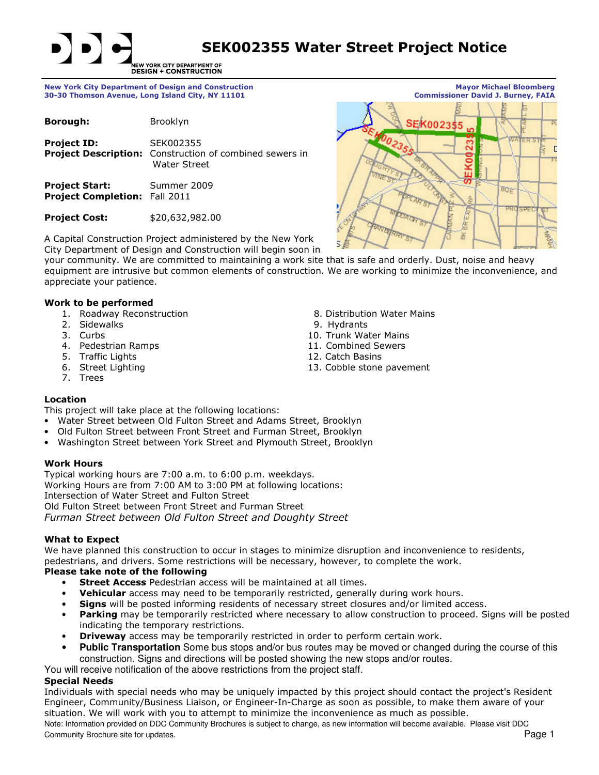SEK002355 Water Street Project Notice

NEW YORK CITY DEPARTMENT OF<br>DESIGN + CONSTRUCTION

30-30 Thomson Avenue, Long Island City, NY 11101

| Borough:                                                      | <b>Brooklyn</b>                                                                      |
|---------------------------------------------------------------|--------------------------------------------------------------------------------------|
| <b>Project ID:</b>                                            | SEK002355<br>Project Description: Construction of combined sewers in<br>Water Street |
| <b>Project Start:</b><br><b>Project Completion: Fall 2011</b> | Summer 2009                                                                          |

Project Cost: \$20,632,982.00

New York City Department of Design and Construction **National Construction Mayor Michael Bloomberg**<br>30-30 Thomson Avenue, Long Island City, NY 11101 **Mayor Mayor Michael Bloomberg** SEK002355 r **BOR** 尧

A Capital Construction Project administered by the New York City Department of Design and Construction will begin soon in

your community. We are committed to maintaining a work site that is safe and orderly. Dust, noise and heavy equipment are intrusive but common elements of construction. We are working to minimize the inconvenience, and appreciate your patience.

## Work to be performed

- 
- 
- 
- 
- 
- 5. Traffic Lights (12. Catch Basins 12. Catch Basins 12. Catch Basins 13. Cobble stone
- 7. Trees
- 1. Roadway Reconstruction **8. Distribution Water Mains**<br>2. Sidewalks 8. Distribution Water Mains
	- 9. Hydrants
- 3. Curbs 10. Trunk Water Mains 10. Trunk Water Mains 10. Trunk Water Mains 10. Trunk Water Mains 1.
	- 11. Combined Sewers
	-
	- 13. Cobble stone pavement

# Location

This project will take place at the following locations:

- Water Street between Old Fulton Street and Adams Street, Brooklyn
- Old Fulton Street between Front Street and Furman Street, Brooklyn
- Washington Street between York Street and Plymouth Street, Brooklyn

# Work Hours

Typical working hours are 7:00 a.m. to 6:00 p.m. weekdays. Working Hours are from 7:00 AM to 3:00 PM at following locations: Intersection of Water Street and Fulton Street Old Fulton Street between Front Street and Furman Street Furman Street between Old Fulton Street and Doughty Street

# What to Expect

We have planned this construction to occur in stages to minimize disruption and inconvenience to residents, pedestrians, and drivers. Some restrictions will be necessary, however, to complete the work.

# Please take note of the following

- **Street Access** Pedestrian access will be maintained at all times.
- **Vehicular** access may need to be temporarily restricted, generally during work hours.
- Signs will be posted informing residents of necessary street closures and/or limited access.
- **Parking** may be temporarily restricted where necessary to allow construction to proceed. Signs will be posted indicating the temporary restrictions.
- **Driveway** access may be temporarily restricted in order to perform certain work.
- **Public Transportation** Some bus stops and/or bus routes may be moved or changed during the course of this construction. Signs and directions will be posted showing the new stops and/or routes.

You will receive notification of the above restrictions from the project staff.

# Special Needs

Individuals with special needs who may be uniquely impacted by this project should contact the project's Resident Engineer, Community/Business Liaison, or Engineer-In-Charge as soon as possible, to make them aware of your situation. We will work with you to attempt to minimize the inconvenience as much as possible.

Note: Information provided on DDC Community Brochures is subject to change, as new information will become available. Please visit DDC Community Brochure site for updates. The community Brochure site for updates. Page 1